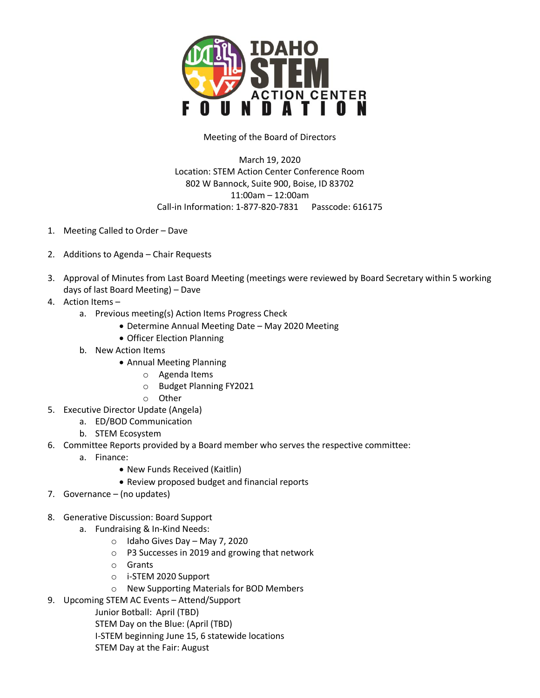

## Meeting of the Board of Directors

March 19, 2020 Location: STEM Action Center Conference Room 802 W Bannock, Suite 900, Boise, ID 83702 11:00am – 12:00am Call-in Information: 1-877-820-7831 Passcode: 616175

- 1. Meeting Called to Order Dave
- 2. Additions to Agenda Chair Requests
- 3. Approval of Minutes from Last Board Meeting (meetings were reviewed by Board Secretary within 5 working days of last Board Meeting) – Dave
- 4. Action Items
	- a. Previous meeting(s) Action Items Progress Check
		- Determine Annual Meeting Date May 2020 Meeting
		- Officer Election Planning
	- b. New Action Items
		- Annual Meeting Planning
			- o Agenda Items
			- o Budget Planning FY2021
			- o Other
- 5. Executive Director Update (Angela)
	- a. ED/BOD Communication
	- b. STEM Ecosystem
- 6. Committee Reports provided by a Board member who serves the respective committee:
	- a. Finance:
		- New Funds Received (Kaitlin)
		- Review proposed budget and financial reports
- 7. Governance (no updates)
- 8. Generative Discussion: Board Support
	- a. Fundraising & In-Kind Needs:
		- o Idaho Gives Day May 7, 2020
		- o P3 Successes in 2019 and growing that network
		- o Grants
		- o i-STEM 2020 Support
		- o New Supporting Materials for BOD Members
- 9. Upcoming STEM AC Events Attend/Support
	- Junior Botball: April (TBD)
	- STEM Day on the Blue: (April (TBD)
	- I-STEM beginning June 15, 6 statewide locations
	- STEM Day at the Fair: August